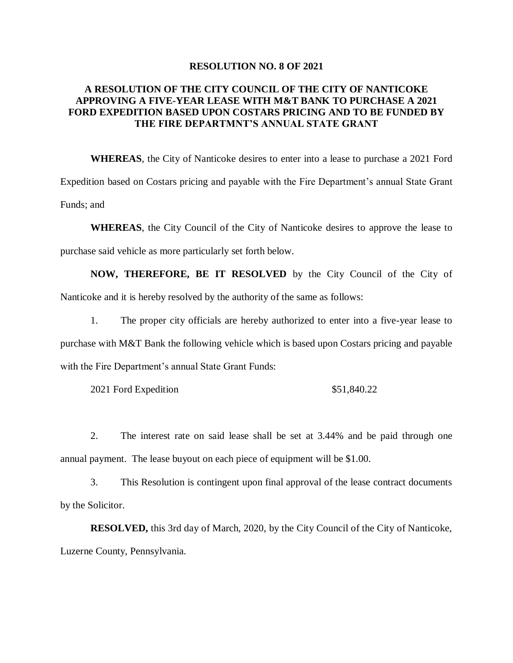## **RESOLUTION NO. 8 OF 2021**

## **A RESOLUTION OF THE CITY COUNCIL OF THE CITY OF NANTICOKE APPROVING A FIVE-YEAR LEASE WITH M&T BANK TO PURCHASE A 2021 FORD EXPEDITION BASED UPON COSTARS PRICING AND TO BE FUNDED BY THE FIRE DEPARTMNT'S ANNUAL STATE GRANT**

**WHEREAS**, the City of Nanticoke desires to enter into a lease to purchase a 2021 Ford Expedition based on Costars pricing and payable with the Fire Department's annual State Grant Funds; and

**WHEREAS**, the City Council of the City of Nanticoke desires to approve the lease to purchase said vehicle as more particularly set forth below.

**NOW, THEREFORE, BE IT RESOLVED** by the City Council of the City of Nanticoke and it is hereby resolved by the authority of the same as follows:

1. The proper city officials are hereby authorized to enter into a five-year lease to purchase with M&T Bank the following vehicle which is based upon Costars pricing and payable with the Fire Department's annual State Grant Funds:

2021 Ford Expedition \$51,840.22

2. The interest rate on said lease shall be set at 3.44% and be paid through one annual payment. The lease buyout on each piece of equipment will be \$1.00.

3. This Resolution is contingent upon final approval of the lease contract documents by the Solicitor.

**RESOLVED,** this 3rd day of March, 2020, by the City Council of the City of Nanticoke, Luzerne County, Pennsylvania.